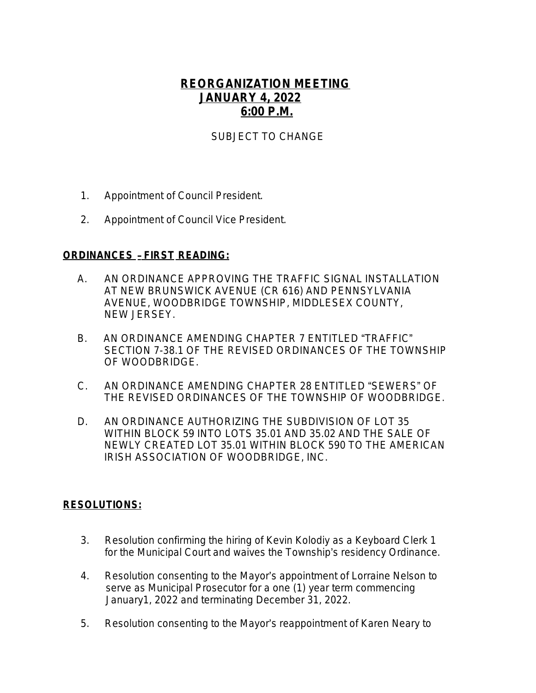## **REORGANIZATION MEETING JANUARY 4, 2022 6:00 P.M.**

## SUBJECT TO CHANGE

- 1. Appointment of Council President.
- 2. Appointment of Council Vice President.

## **ORDINANCES** – **FIRST READING:**

- A.AN ORDINANCE APPROVING THE TRAFFIC SIGNAL INSTALLATION AT NEW BRUNSWICK AVENUE (CR 616) AND PENNSYLVANIA AVENUE, WOODBRIDGE TOWNSHIP, MIDDLESEX COUNTY, NEW JERSEY.
- B. AN ORDINANCE AMENDING CHAPTER 7 ENTITLED "TRAFFIC" SECTION 7-38.1 OF THE REVISED ORDINANCES OF THE TOWNSHIP OF WOODBRIDGE.
- C. AN ORDINANCE AMENDING CHAPTER 28 ENTITLED "SEWERS" OF THE REVISED ORDINANCES OF THE TOWNSHIP OF WOODBRIDGE.
- D. AN ORDINANCE AUTHORIZING THE SUBDIVISION OF LOT 35 WITHIN BLOCK 59 INTO LOTS 35.01 AND 35.02 AND THE SALE OF NEWLY CREATED LOT 35.01 WITHIN BLOCK 590 TO THE AMERICAN IRISH ASSOCIATION OF WOODBRIDGE, INC.

## **RESOLUTIONS:**

- 3. Resolution confirming the hiring of Kevin Kolodiy as a Keyboard Clerk 1 for the Municipal Court and waives the Township's residency Ordinance.
- 4. Resolution consenting to the Mayor's appointment of Lorraine Nelson to serve as Municipal Prosecutor for a one (1) year term commencing January1, 2022 and terminating December 31, 2022.
- 5. Resolution consenting to the Mayor's reappointment of Karen Neary to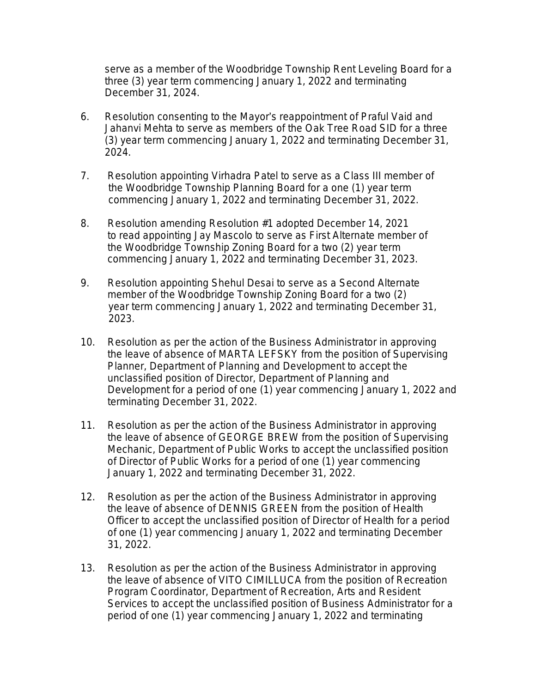serve as a member of the Woodbridge Township Rent Leveling Board for a three (3) year term commencing January 1, 2022 and terminating December 31, 2024.

- 6. Resolution consenting to the Mayor's reappointment of Praful Vaid and Jahanvi Mehta to serve as members of the Oak Tree Road SID for a three (3) year term commencing January 1, 2022 and terminating December 31, 2024.
- 7. Resolution appointing Virhadra Patel to serve as a Class III member of the Woodbridge Township Planning Board for a one (1) year term commencing January 1, 2022 and terminating December 31, 2022.
- 8. Resolution amending Resolution #1 adopted December 14, 2021 to read appointing Jay Mascolo to serve as First Alternate member of the Woodbridge Township Zoning Board for a two (2) year term commencing January 1, 2022 and terminating December 31, 2023.
- 9. Resolution appointing Shehul Desai to serve as a Second Alternate member of the Woodbridge Township Zoning Board for a two (2) year term commencing January 1, 2022 and terminating December 31, 2023.
- 10. Resolution as per the action of the Business Administrator in approving the leave of absence of MARTA LEFSKY from the position of Supervising Planner, Department of Planning and Development to accept the unclassified position of Director, Department of Planning and Development for a period of one (1) year commencing January 1, 2022 and terminating December 31, 2022.
- 11. Resolution as per the action of the Business Administrator in approving the leave of absence of GEORGE BREW from the position of Supervising Mechanic, Department of Public Works to accept the unclassified position of Director of Public Works for a period of one (1) year commencing January 1, 2022 and terminating December 31, 2022.
- 12. Resolution as per the action of the Business Administrator in approving the leave of absence of DENNIS GREEN from the position of Health Officer to accept the unclassified position of Director of Health for a period of one (1) year commencing January 1, 2022 and terminating December 31, 2022.
- 13. Resolution as per the action of the Business Administrator in approving the leave of absence of VITO CIMILLUCA from the position of Recreation Program Coordinator, Department of Recreation, Arts and Resident Services to accept the unclassified position of Business Administrator for a period of one (1) year commencing January 1, 2022 and terminating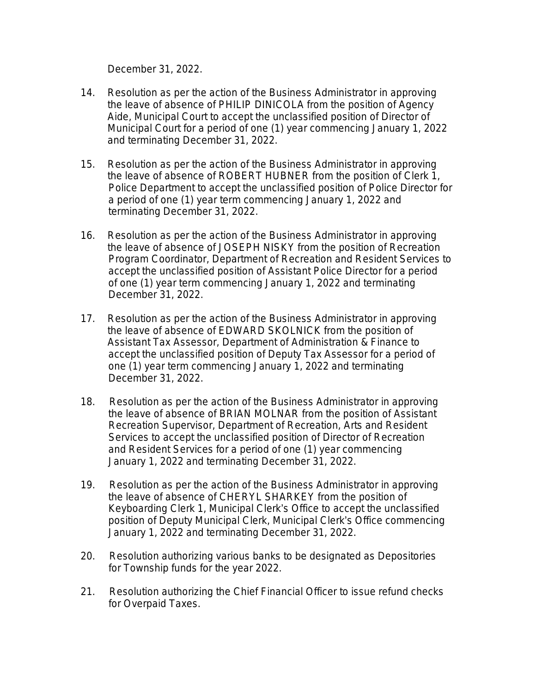December 31, 2022.

- 14. Resolution as per the action of the Business Administrator in approving the leave of absence of PHILIP DINICOLA from the position of Agency Aide, Municipal Court to accept the unclassified position of Director of Municipal Court for a period of one (1) year commencing January 1, 2022 and terminating December 31, 2022.
- 15. Resolution as per the action of the Business Administrator in approving the leave of absence of ROBERT HUBNER from the position of Clerk 1, Police Department to accept the unclassified position of Police Director for a period of one (1) year term commencing January 1, 2022 and terminating December 31, 2022.
- 16. Resolution as per the action of the Business Administrator in approving the leave of absence of JOSEPH NISKY from the position of Recreation Program Coordinator, Department of Recreation and Resident Services to accept the unclassified position of Assistant Police Director for a period of one (1) year term commencing January 1, 2022 and terminating December 31, 2022.
- 17. Resolution as per the action of the Business Administrator in approving the leave of absence of EDWARD SKOLNICK from the position of Assistant Tax Assessor, Department of Administration & Finance to accept the unclassified position of Deputy Tax Assessor for a period of one (1) year term commencing January 1, 2022 and terminating December 31, 2022.
- 18. Resolution as per the action of the Business Administrator in approving the leave of absence of BRIAN MOLNAR from the position of Assistant Recreation Supervisor, Department of Recreation, Arts and Resident Services to accept the unclassified position of Director of Recreation and Resident Services for a period of one (1) year commencing January 1, 2022 and terminating December 31, 2022.
- 19. Resolution as per the action of the Business Administrator in approving the leave of absence of CHERYL SHARKEY from the position of Keyboarding Clerk 1, Municipal Clerk's Office to accept the unclassified position of Deputy Municipal Clerk, Municipal Clerk's Office commencing January 1, 2022 and terminating December 31, 2022.
- 20. Resolution authorizing various banks to be designated as Depositories for Township funds for the year 2022.
- 21. Resolution authorizing the Chief Financial Officer to issue refund checks for Overpaid Taxes.